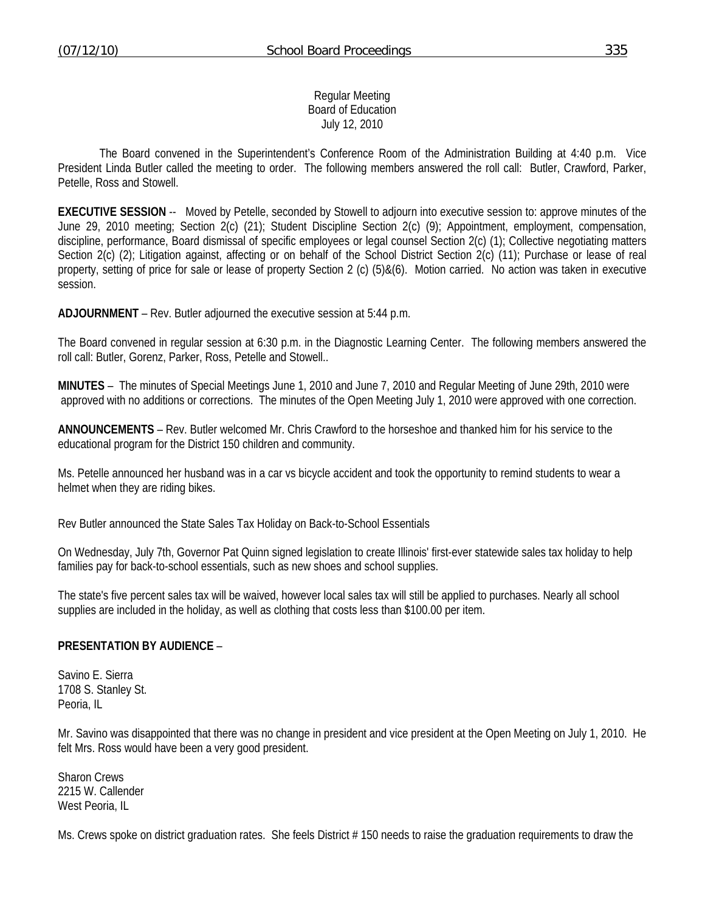Regular Meeting Board of Education July 12, 2010

 The Board convened in the Superintendent's Conference Room of the Administration Building at 4:40 p.m. Vice President Linda Butler called the meeting to order. The following members answered the roll call: Butler, Crawford, Parker, Petelle, Ross and Stowell.

**EXECUTIVE SESSION** -- Moved by Petelle, seconded by Stowell to adjourn into executive session to: approve minutes of the June 29, 2010 meeting; Section 2(c) (21); Student Discipline Section 2(c) (9); Appointment, employment, compensation, discipline, performance, Board dismissal of specific employees or legal counsel Section 2(c) (1); Collective negotiating matters Section 2(c) (2); Litigation against, affecting or on behalf of the School District Section 2(c) (11); Purchase or lease of real property, setting of price for sale or lease of property Section 2 (c) (5)&(6). Motion carried. No action was taken in executive session.

**ADJOURNMENT** – Rev. Butler adjourned the executive session at 5:44 p.m.

The Board convened in regular session at 6:30 p.m. in the Diagnostic Learning Center. The following members answered the roll call: Butler, Gorenz, Parker, Ross, Petelle and Stowell..

**MINUTES** – The minutes of Special Meetings June 1, 2010 and June 7, 2010 and Regular Meeting of June 29th, 2010 were approved with no additions or corrections. The minutes of the Open Meeting July 1, 2010 were approved with one correction.

**ANNOUNCEMENTS** – Rev. Butler welcomed Mr. Chris Crawford to the horseshoe and thanked him for his service to the educational program for the District 150 children and community.

Ms. Petelle announced her husband was in a car vs bicycle accident and took the opportunity to remind students to wear a helmet when they are riding bikes.

Rev Butler announced the State Sales Tax Holiday on Back-to-School Essentials

On Wednesday, July 7th, Governor Pat Quinn signed legislation to create Illinois' first-ever statewide sales tax holiday to help families pay for back-to-school essentials, such as new shoes and school supplies.

The state's five percent sales tax will be waived, however local sales tax will still be applied to purchases. Nearly all school supplies are included in the holiday, as well as clothing that costs less than \$100.00 per item.

#### **PRESENTATION BY AUDIENCE** –

Savino E. Sierra 1708 S. Stanley St. Peoria, IL

Mr. Savino was disappointed that there was no change in president and vice president at the Open Meeting on July 1, 2010. He felt Mrs. Ross would have been a very good president.

Sharon Crews 2215 W. Callender West Peoria, IL

Ms. Crews spoke on district graduation rates. She feels District #150 needs to raise the graduation requirements to draw the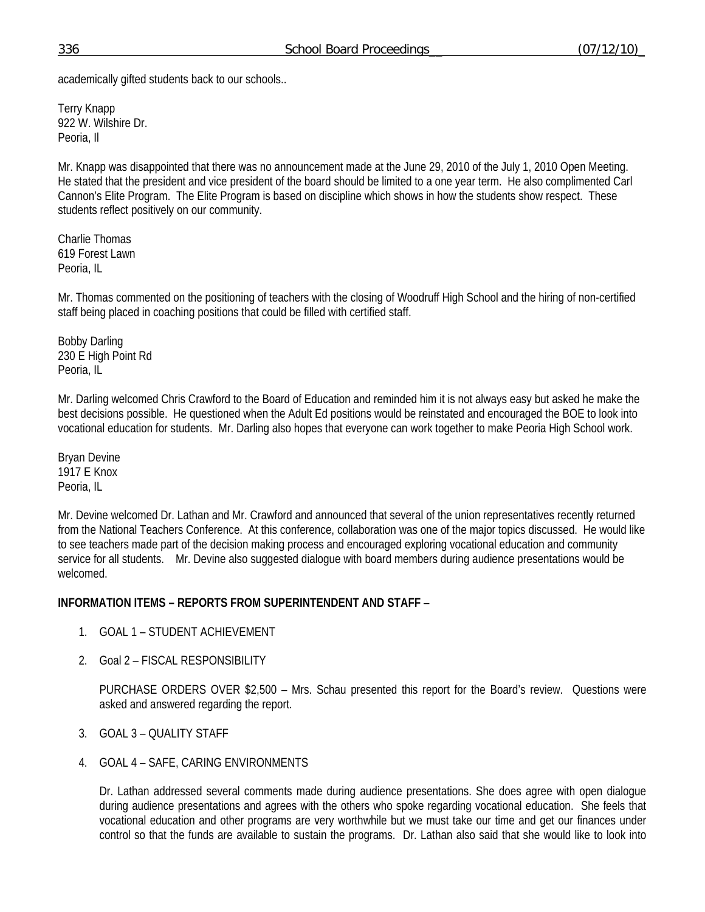academically gifted students back to our schools..

Terry Knapp 922 W. Wilshire Dr. Peoria, Il

Mr. Knapp was disappointed that there was no announcement made at the June 29, 2010 of the July 1, 2010 Open Meeting. He stated that the president and vice president of the board should be limited to a one year term. He also complimented Carl Cannon's Elite Program. The Elite Program is based on discipline which shows in how the students show respect. These students reflect positively on our community.

Charlie Thomas 619 Forest Lawn Peoria, IL

Mr. Thomas commented on the positioning of teachers with the closing of Woodruff High School and the hiring of non-certified staff being placed in coaching positions that could be filled with certified staff.

Bobby Darling 230 E High Point Rd Peoria, IL

Mr. Darling welcomed Chris Crawford to the Board of Education and reminded him it is not always easy but asked he make the best decisions possible. He questioned when the Adult Ed positions would be reinstated and encouraged the BOE to look into vocational education for students. Mr. Darling also hopes that everyone can work together to make Peoria High School work.

Bryan Devine 1917 E Knox Peoria, IL

Mr. Devine welcomed Dr. Lathan and Mr. Crawford and announced that several of the union representatives recently returned from the National Teachers Conference. At this conference, collaboration was one of the major topics discussed. He would like to see teachers made part of the decision making process and encouraged exploring vocational education and community service for all students. Mr. Devine also suggested dialogue with board members during audience presentations would be welcomed.

## **INFORMATION ITEMS – REPORTS FROM SUPERINTENDENT AND STAFF** –

- 1. GOAL 1 STUDENT ACHIEVEMENT
- 2. Goal 2 FISCAL RESPONSIBILITY

PURCHASE ORDERS OVER \$2,500 – Mrs. Schau presented this report for the Board's review. Questions were asked and answered regarding the report.

- 3. GOAL 3 QUALITY STAFF
- 4. GOAL 4 SAFE, CARING ENVIRONMENTS

Dr. Lathan addressed several comments made during audience presentations. She does agree with open dialogue during audience presentations and agrees with the others who spoke regarding vocational education. She feels that vocational education and other programs are very worthwhile but we must take our time and get our finances under control so that the funds are available to sustain the programs. Dr. Lathan also said that she would like to look into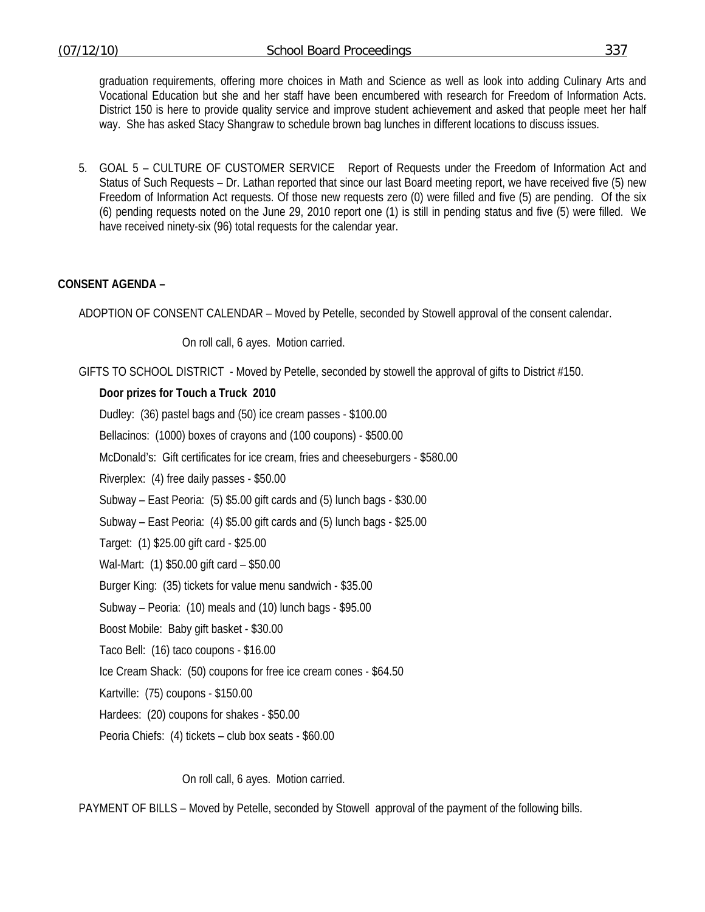graduation requirements, offering more choices in Math and Science as well as look into adding Culinary Arts and Vocational Education but she and her staff have been encumbered with research for Freedom of Information Acts. District 150 is here to provide quality service and improve student achievement and asked that people meet her half way. She has asked Stacy Shangraw to schedule brown bag lunches in different locations to discuss issues.

5. GOAL 5 – CULTURE OF CUSTOMER SERVICE Report of Requests under the Freedom of Information Act and Status of Such Requests – Dr. Lathan reported that since our last Board meeting report, we have received five (5) new Freedom of Information Act requests. Of those new requests zero (0) were filled and five (5) are pending. Of the six (6) pending requests noted on the June 29, 2010 report one (1) is still in pending status and five (5) were filled. We have received ninety-six (96) total requests for the calendar year.

## **CONSENT AGENDA –**

ADOPTION OF CONSENT CALENDAR – Moved by Petelle, seconded by Stowell approval of the consent calendar.

On roll call, 6 ayes. Motion carried.

GIFTS TO SCHOOL DISTRICT - Moved by Petelle, seconded by stowell the approval of gifts to District #150.

#### **Door prizes for Touch a Truck 2010**

Dudley: (36) pastel bags and (50) ice cream passes - \$100.00 Bellacinos: (1000) boxes of crayons and (100 coupons) - \$500.00 McDonald's: Gift certificates for ice cream, fries and cheeseburgers - \$580.00 Riverplex: (4) free daily passes - \$50.00 Subway – East Peoria: (5) \$5.00 gift cards and (5) lunch bags - \$30.00 Subway – East Peoria: (4) \$5.00 gift cards and (5) lunch bags - \$25.00 Target: (1) \$25.00 gift card - \$25.00 Wal-Mart: (1) \$50.00 gift card – \$50.00 Burger King: (35) tickets for value menu sandwich - \$35.00 Subway – Peoria: (10) meals and (10) lunch bags - \$95.00 Boost Mobile: Baby gift basket - \$30.00 Taco Bell: (16) taco coupons - \$16.00 Ice Cream Shack: (50) coupons for free ice cream cones - \$64.50 Kartville: (75) coupons - \$150.00 Hardees: (20) coupons for shakes - \$50.00 Peoria Chiefs: (4) tickets – club box seats - \$60.00

On roll call, 6 ayes. Motion carried.

PAYMENT OF BILLS – Moved by Petelle, seconded by Stowell approval of the payment of the following bills.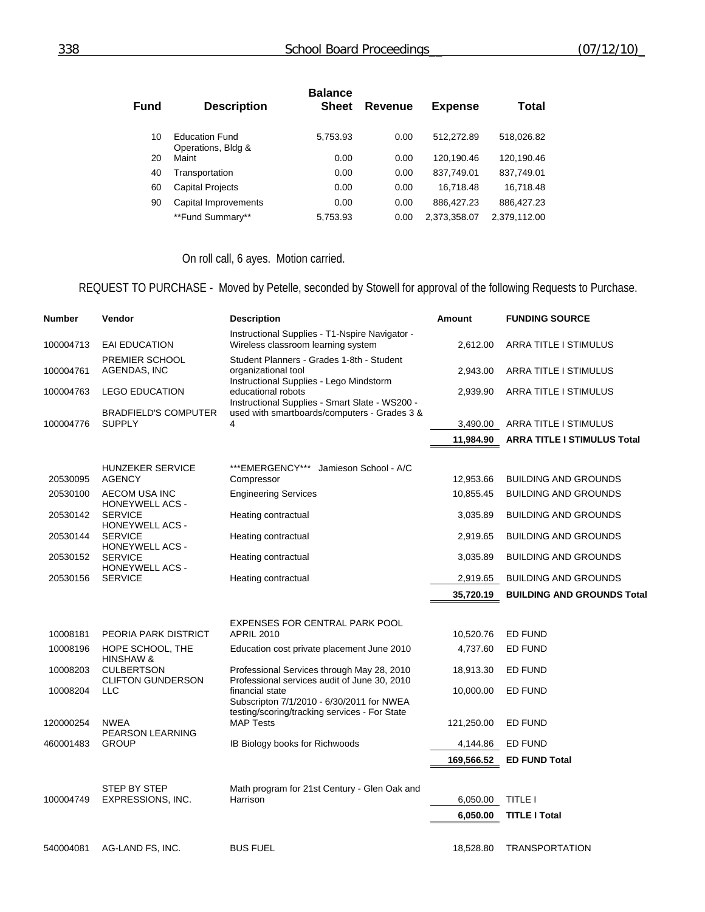| Fund | <b>Description</b>                          | <b>Balance</b><br><b>Sheet</b> | Revenue | <b>Expense</b> | <b>Total</b> |
|------|---------------------------------------------|--------------------------------|---------|----------------|--------------|
| 10   | <b>Education Fund</b><br>Operations, Bldg & | 5,753.93                       | 0.00    | 512.272.89     | 518,026.82   |
| 20   | Maint                                       | 0.00                           | 0.00    | 120,190.46     | 120,190.46   |
| 40   | Transportation                              | 0.00                           | 0.00    | 837,749.01     | 837,749.01   |
| 60   | <b>Capital Projects</b>                     | 0.00                           | 0.00    | 16,718.48      | 16,718.48    |
| 90   | Capital Improvements                        | 0.00                           | 0.00    | 886,427.23     | 886,427.23   |
|      | **Fund Summary**                            | 5,753.93                       | 0.00    | 2,373,358.07   | 2,379,112.00 |

# On roll call, 6 ayes. Motion carried.

# REQUEST TO PURCHASE - Moved by Petelle, seconded by Stowell for approval of the following Requests to Purchase.

| <b>Number</b> | Vendor                                                             | <b>Description</b>                                                                                              | <b>Amount</b> | <b>FUNDING SOURCE</b>              |
|---------------|--------------------------------------------------------------------|-----------------------------------------------------------------------------------------------------------------|---------------|------------------------------------|
| 100004713     | <b>EAI EDUCATION</b>                                               | Instructional Supplies - T1-Nspire Navigator -<br>Wireless classroom learning system                            | 2,612.00      | ARRA TITLE I STIMULUS              |
| 100004761     | PREMIER SCHOOL<br>AGENDAS, INC                                     | Student Planners - Grades 1-8th - Student<br>organizational tool                                                | 2,943.00      | ARRA TITLE I STIMULUS              |
| 100004763     | <b>LEGO EDUCATION</b>                                              | Instructional Supplies - Lego Mindstorm<br>educational robots<br>Instructional Supplies - Smart Slate - WS200 - | 2,939.90      | ARRA TITLE I STIMULUS              |
| 100004776     | <b>BRADFIELD'S COMPUTER</b><br><b>SUPPLY</b>                       | used with smartboards/computers - Grades 3 &<br>4                                                               |               | 3,490.00 ARRA TITLE I STIMULUS     |
|               |                                                                    |                                                                                                                 | 11,984.90     | <b>ARRA TITLE I STIMULUS Total</b> |
| 20530095      | <b>HUNZEKER SERVICE</b><br><b>AGENCY</b>                           | ***EMERGENCY***<br>Jamieson School - A/C<br>Compressor                                                          | 12,953.66     | <b>BUILDING AND GROUNDS</b>        |
| 20530100      | AECOM USA INC                                                      | <b>Engineering Services</b>                                                                                     | 10,855.45     | <b>BUILDING AND GROUNDS</b>        |
| 20530142      | <b>HONEYWELL ACS -</b><br><b>SERVICE</b>                           | Heating contractual                                                                                             | 3,035.89      | <b>BUILDING AND GROUNDS</b>        |
| 20530144      | <b>HONEYWELL ACS -</b><br><b>SERVICE</b>                           | Heating contractual                                                                                             | 2,919.65      | <b>BUILDING AND GROUNDS</b>        |
| 20530152      | <b>HONEYWELL ACS -</b><br><b>SERVICE</b><br><b>HONEYWELL ACS -</b> | Heating contractual                                                                                             | 3,035.89      | <b>BUILDING AND GROUNDS</b>        |
| 20530156      | <b>SERVICE</b>                                                     | Heating contractual                                                                                             | 2,919.65      | <b>BUILDING AND GROUNDS</b>        |
|               |                                                                    |                                                                                                                 | 35,720.19     | <b>BUILDING AND GROUNDS Total</b>  |
|               |                                                                    |                                                                                                                 |               |                                    |
| 10008181      | PEORIA PARK DISTRICT                                               | EXPENSES FOR CENTRAL PARK POOL<br><b>APRIL 2010</b>                                                             | 10,520.76     | <b>ED FUND</b>                     |
| 10008196      | HOPE SCHOOL, THE                                                   | Education cost private placement June 2010                                                                      | 4,737.60      | ED FUND                            |
| 10008203      | HINSHAW &<br><b>CULBERTSON</b><br><b>CLIFTON GUNDERSON</b>         | Professional Services through May 28, 2010<br>Professional services audit of June 30, 2010                      | 18,913.30     | ED FUND                            |
| 10008204      | <b>LLC</b>                                                         | financial state<br>Subscripton 7/1/2010 - 6/30/2011 for NWEA                                                    | 10,000.00     | ED FUND                            |
| 120000254     | <b>NWEA</b>                                                        | testing/scoring/tracking services - For State<br><b>MAP Tests</b>                                               | 121,250.00    | ED FUND                            |
| 460001483     | PEARSON LEARNING<br><b>GROUP</b>                                   | IB Biology books for Richwoods                                                                                  | 4,144.86      | <b>ED FUND</b>                     |
|               |                                                                    |                                                                                                                 | 169,566.52    | <b>ED FUND Total</b>               |
| 100004749     | STEP BY STEP<br>EXPRESSIONS, INC.                                  | Math program for 21st Century - Glen Oak and<br>Harrison                                                        | 6,050.00      | <b>TITLE I</b>                     |
|               |                                                                    |                                                                                                                 | 6,050.00      | <b>TITLE I Total</b>               |
|               |                                                                    |                                                                                                                 |               |                                    |
| 540004081     | AG-LAND FS, INC.                                                   | <b>BUS FUEL</b>                                                                                                 | 18,528.80     | <b>TRANSPORTATION</b>              |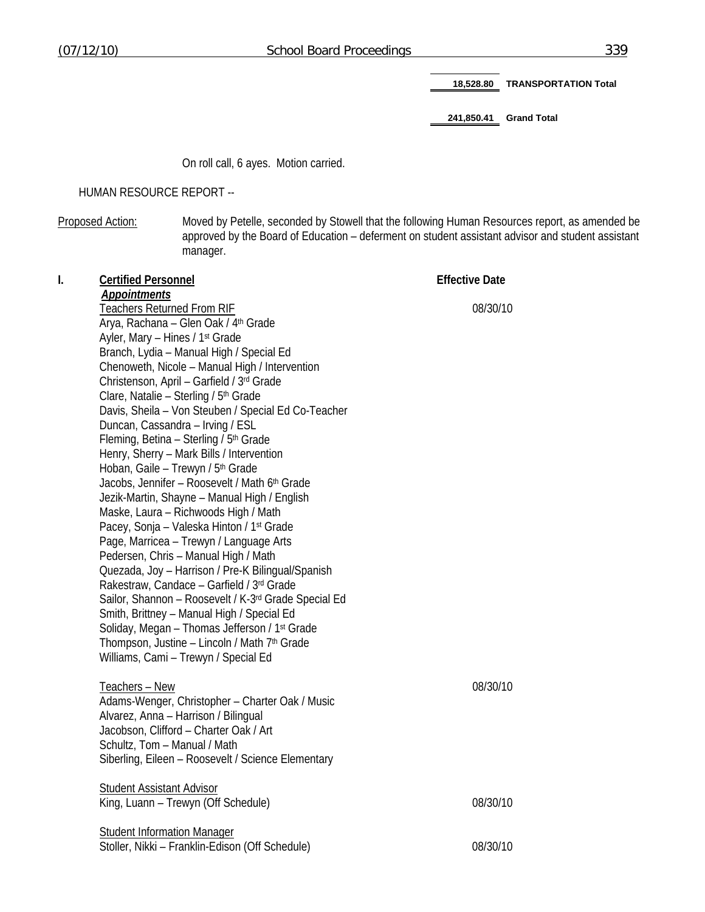**18,528.80 TRANSPORTATION Total** 

**241,850.41 Grand Total** 

On roll call, 6 ayes. Motion carried.

HUMAN RESOURCE REPORT --

Proposed Action: Moved by Petelle, seconded by Stowell that the following Human Resources report, as amended be approved by the Board of Education – deferment on student assistant advisor and student assistant manager.

| I. | <b>Certified Personnel</b>                                | <b>Effective Date</b> |
|----|-----------------------------------------------------------|-----------------------|
|    | Appointments                                              |                       |
|    | <b>Teachers Returned From RIF</b>                         | 08/30/10              |
|    | Arya, Rachana - Glen Oak / 4th Grade                      |                       |
|    | Ayler, Mary - Hines / 1 <sup>st</sup> Grade               |                       |
|    | Branch, Lydia - Manual High / Special Ed                  |                       |
|    | Chenoweth, Nicole - Manual High / Intervention            |                       |
|    | Christenson, April - Garfield / 3rd Grade                 |                       |
|    | Clare, Natalie - Sterling / 5th Grade                     |                       |
|    | Davis, Sheila - Von Steuben / Special Ed Co-Teacher       |                       |
|    | Duncan, Cassandra - Irving / ESL                          |                       |
|    | Fleming, Betina - Sterling / 5 <sup>th</sup> Grade        |                       |
|    | Henry, Sherry - Mark Bills / Intervention                 |                       |
|    | Hoban, Gaile - Trewyn / 5th Grade                         |                       |
|    | Jacobs, Jennifer - Roosevelt / Math 6th Grade             |                       |
|    | Jezik-Martin, Shayne - Manual High / English              |                       |
|    | Maske, Laura - Richwoods High / Math                      |                       |
|    | Pacey, Sonja – Valeska Hinton / 1st Grade                 |                       |
|    | Page, Marricea - Trewyn / Language Arts                   |                       |
|    | Pedersen, Chris - Manual High / Math                      |                       |
|    | Quezada, Joy - Harrison / Pre-K Bilingual/Spanish         |                       |
|    | Rakestraw, Candace - Garfield / 3rd Grade                 |                       |
|    | Sailor, Shannon - Roosevelt / K-3rd Grade Special Ed      |                       |
|    | Smith, Brittney - Manual High / Special Ed                |                       |
|    | Soliday, Megan - Thomas Jefferson / 1 <sup>st</sup> Grade |                       |
|    | Thompson, Justine - Lincoln / Math 7th Grade              |                       |
|    | Williams, Cami - Trewyn / Special Ed                      |                       |
|    |                                                           |                       |
|    | Teachers - New                                            | 08/30/10              |
|    | Adams-Wenger, Christopher - Charter Oak / Music           |                       |
|    | Alvarez, Anna - Harrison / Bilingual                      |                       |
|    | Jacobson, Clifford - Charter Oak / Art                    |                       |
|    | Schultz, Tom - Manual / Math                              |                       |
|    | Siberling, Eileen - Roosevelt / Science Elementary        |                       |
|    | <b>Student Assistant Advisor</b>                          |                       |
|    | King, Luann - Trewyn (Off Schedule)                       | 08/30/10              |
|    |                                                           |                       |
|    | <b>Student Information Manager</b>                        |                       |
|    | Stoller, Nikki - Franklin-Edison (Off Schedule)           | 08/30/10              |
|    |                                                           |                       |
|    |                                                           |                       |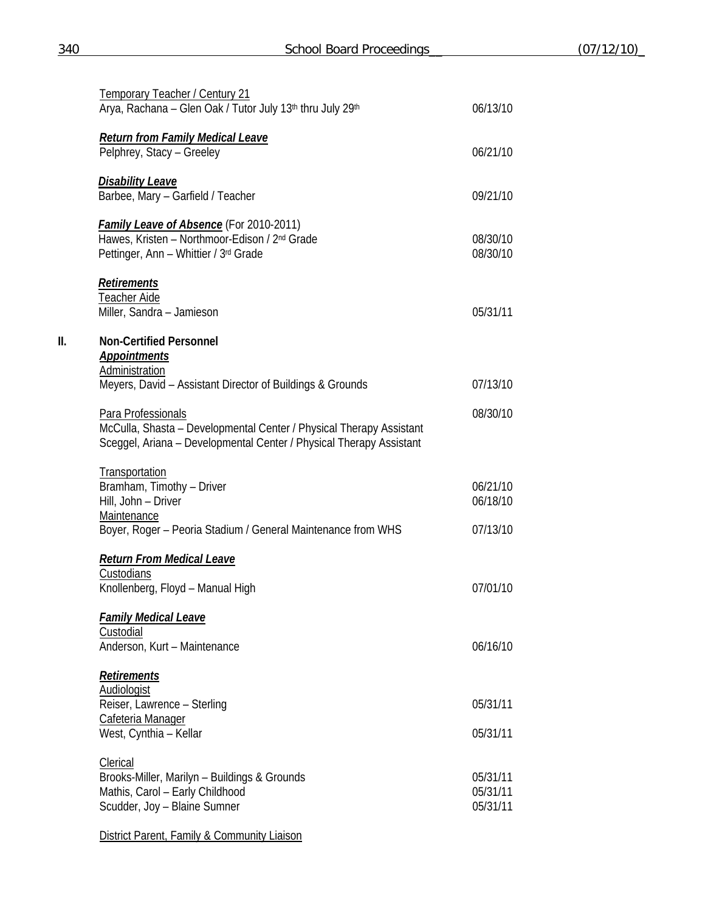|     | Temporary Teacher / Century 21<br>Arya, Rachana - Glen Oak / Tutor July 13th thru July 29th                                                                      | 06/13/10                                                                                                                                                                         |
|-----|------------------------------------------------------------------------------------------------------------------------------------------------------------------|----------------------------------------------------------------------------------------------------------------------------------------------------------------------------------|
|     | <b>Return from Family Medical Leave</b><br>Pelphrey, Stacy - Greeley                                                                                             | 06/21/10                                                                                                                                                                         |
|     | <b>Disability Leave</b><br>Barbee, Mary - Garfield / Teacher                                                                                                     | 09/21/10                                                                                                                                                                         |
|     | <b>Family Leave of Absence</b> (For 2010-2011)<br>Hawes, Kristen - Northmoor-Edison / 2 <sup>nd</sup> Grade<br>Pettinger, Ann - Whittier / 3rd Grade             | 08/30/10<br>08/30/10<br>05/31/11<br>07/13/10<br>08/30/10<br>06/21/10<br>06/18/10<br>07/13/10<br>07/01/10<br>06/16/10<br>05/31/11<br>05/31/11<br>05/31/11<br>05/31/11<br>05/31/11 |
|     | <b>Retirements</b><br><b>Teacher Aide</b><br>Miller, Sandra - Jamieson                                                                                           |                                                                                                                                                                                  |
| II. | <b>Non-Certified Personnel</b><br><b>Appointments</b><br>Administration                                                                                          |                                                                                                                                                                                  |
|     | Meyers, David - Assistant Director of Buildings & Grounds                                                                                                        |                                                                                                                                                                                  |
|     | Para Professionals<br>McCulla, Shasta - Developmental Center / Physical Therapy Assistant<br>Sceggel, Ariana - Developmental Center / Physical Therapy Assistant |                                                                                                                                                                                  |
|     | Transportation<br>Bramham, Timothy - Driver<br>Hill, John - Driver<br>Maintenance                                                                                |                                                                                                                                                                                  |
|     | Boyer, Roger - Peoria Stadium / General Maintenance from WHS                                                                                                     |                                                                                                                                                                                  |
|     | <b>Return From Medical Leave</b><br>Custodians<br>Knollenberg, Floyd - Manual High                                                                               |                                                                                                                                                                                  |
|     | <b>Family Medical Leave</b><br>Custodial<br>Anderson, Kurt - Maintenance                                                                                         |                                                                                                                                                                                  |
|     | <b>Retirements</b>                                                                                                                                               |                                                                                                                                                                                  |
|     | <b>Audiologist</b><br>Reiser, Lawrence - Sterling                                                                                                                |                                                                                                                                                                                  |
|     | Cafeteria Manager<br>West, Cynthia - Kellar                                                                                                                      |                                                                                                                                                                                  |
|     | Clerical<br>Brooks-Miller, Marilyn - Buildings & Grounds<br>Mathis, Carol - Early Childhood<br>Scudder, Joy - Blaine Sumner                                      |                                                                                                                                                                                  |

**District Parent, Family & Community Liaison**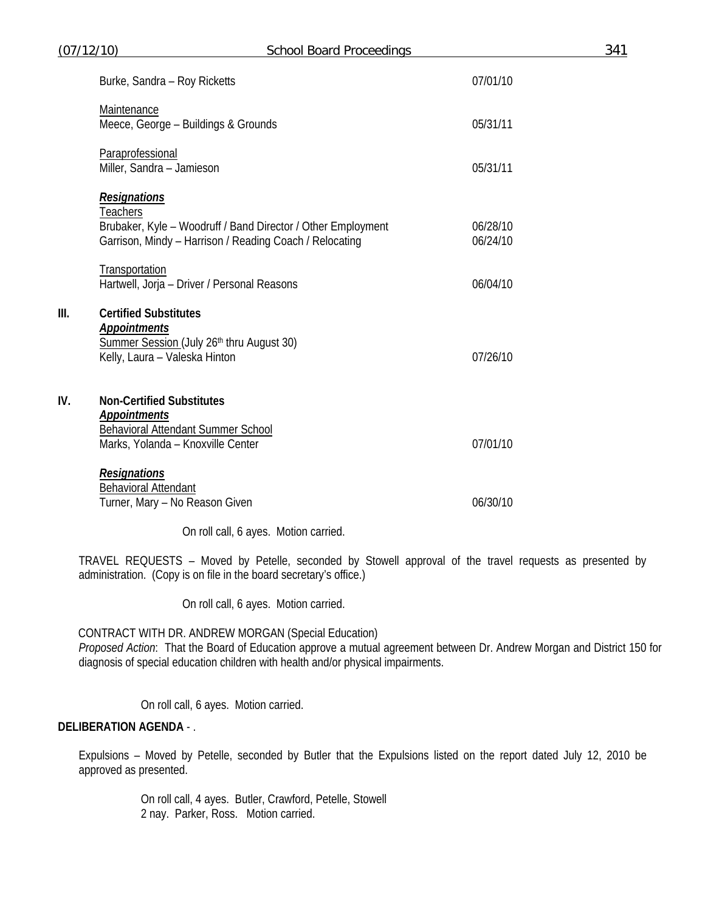| (07/12/10) |                                                                                                                                                                   | <b>School Board Proceedings</b>       |                      | 341 |
|------------|-------------------------------------------------------------------------------------------------------------------------------------------------------------------|---------------------------------------|----------------------|-----|
|            | Burke, Sandra - Roy Ricketts                                                                                                                                      |                                       | 07/01/10             |     |
|            | Maintenance<br>Meece, George - Buildings & Grounds                                                                                                                |                                       | 05/31/11             |     |
|            | Paraprofessional<br>Miller, Sandra - Jamieson                                                                                                                     |                                       | 05/31/11             |     |
|            | <b>Resignations</b><br><b>Teachers</b><br>Brubaker, Kyle - Woodruff / Band Director / Other Employment<br>Garrison, Mindy - Harrison / Reading Coach / Relocating |                                       | 06/28/10<br>06/24/10 |     |
|            | Transportation<br>Hartwell, Jorja - Driver / Personal Reasons                                                                                                     |                                       | 06/04/10             |     |
| III.       | <b>Certified Substitutes</b><br><b>Appointments</b><br>Summer Session (July 26th thru August 30)<br>Kelly, Laura - Valeska Hinton                                 |                                       | 07/26/10             |     |
| IV.        | <b>Non-Certified Substitutes</b><br><b>Appointments</b><br><b>Behavioral Attendant Summer School</b><br>Marks, Yolanda - Knoxville Center                         |                                       | 07/01/10             |     |
|            | <b>Resignations</b><br><b>Behavioral Attendant</b><br>Turner, Mary - No Reason Given                                                                              |                                       | 06/30/10             |     |
|            |                                                                                                                                                                   | On roll call, 6 ayes. Motion carried. |                      |     |

TRAVEL REQUESTS – Moved by Petelle, seconded by Stowell approval of the travel requests as presented by administration. (Copy is on file in the board secretary's office.)

On roll call, 6 ayes. Motion carried.

CONTRACT WITH DR. ANDREW MORGAN (Special Education)

*Proposed Action*: That the Board of Education approve a mutual agreement between Dr. Andrew Morgan and District 150 for diagnosis of special education children with health and/or physical impairments.

On roll call, 6 ayes. Motion carried.

## **DELIBERATION AGENDA** - .

Expulsions – Moved by Petelle, seconded by Butler that the Expulsions listed on the report dated July 12, 2010 be approved as presented.

> On roll call, 4 ayes. Butler, Crawford, Petelle, Stowell 2 nay. Parker, Ross. Motion carried.